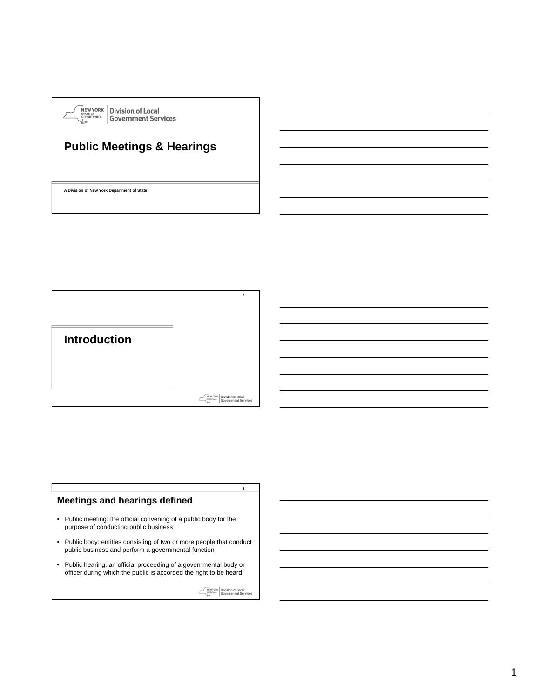

**A Division of New York Department of State**



### **Meetings and hearings defined**

- Public meeting: the official convening of a public body for the purpose of conducting public business
- Public body: entities consisting of two or more people that conduct public business and perform a governmental function
- Public hearing: an official proceeding of a governmental body or officer during which the public is accorded the right to be heard

 $\begin{tabular}{c|c} \hline & \textbf{New York} \\ \hline \textbf{New York} \\ \hline \textbf{WMSMATE} \\ \hline \textbf{WMSMATE} \end{tabular} \begin{tabular}{|c|c|} \hline \textbf{Division of Local} \\ \hline \textbf{Government Services} \\ \hline \end{tabular}$ 

**3**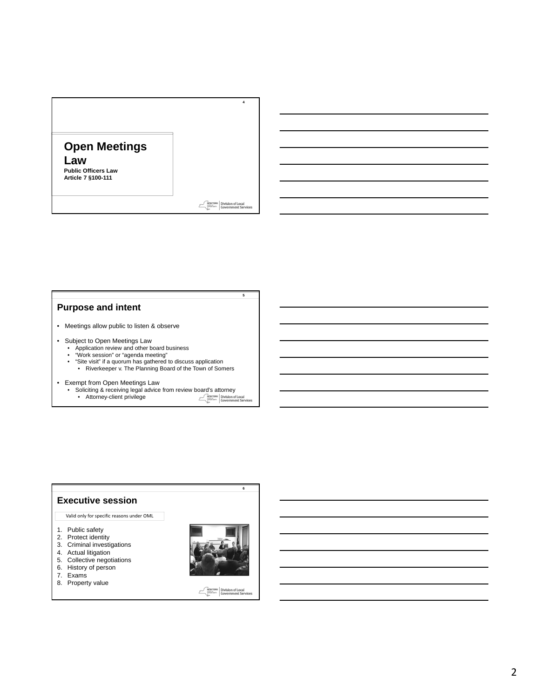## **Open Meetings**

**Law Public Officers Law Article 7 §100-111**

**MEWYORK** Division of Local

**5**

**4**

### **Purpose and intent**

- Meetings allow public to listen & observe
- Subject to Open Meetings Law
	-
	-
	- Application review and other board business "Work session" or "agenda meeting" "Site visit" if a quorum has gathered to discuss application Riverkeeper v. The Planning Board of the Town of Somers
- Exempt from Open Meetings Law
	- Soliciting & receiving legal advice from review board's attorney<br>• Attorney-client privilege<br>
	physion client proven by the service • Attorney-client privilege
		-

#### **6 Executive session** Valid only for specific reasons under OML1. Public safety 2. Protect identity 3. Criminal investigations 4. Actual litigation 5. Collective negotiations 6. History of person 7. Exams 8. Property value NEW YORK Division of Local<br>
Sovernment Services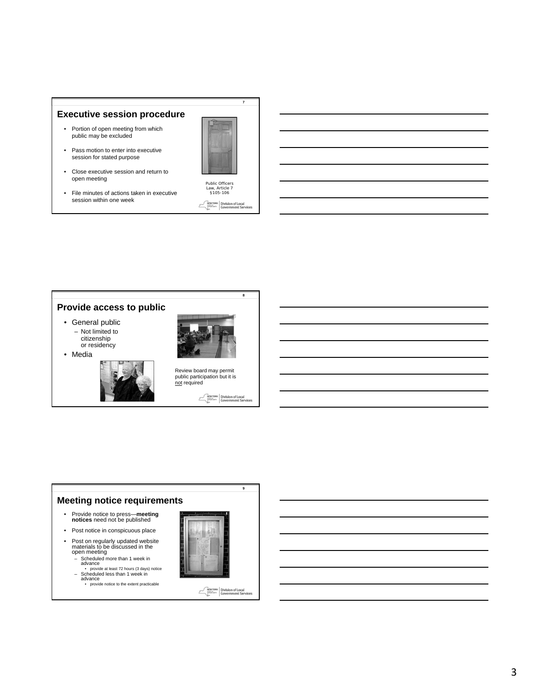#### **Executive session procedure**

- Portion of open meeting from which public may be excluded
- Pass motion to enter into executive session for stated purpose
- Close executive session and return to open meeting
- File minutes of actions taken in executive session within one week



**7**

## Public Officers Law, Article 7 §105-106 **MEWYORK** Division of Local



**MEWYORK** Division of Local

# **9 Meeting notice requirements**• Provide notice to press—**meeting notices** need not be published • Post notice in conspicuous place • Post on regularly updated website<br>materials to be discussed in the<br>open meeting<br>- Scheduled more than 1 week in<br>advance<br>- Scheduled less than 1 week in<br>advance<br>and the scheduled less than 1 week in<br>advance<br>- provide noti NEW YORK Division of Local<br>
Sovernment Services

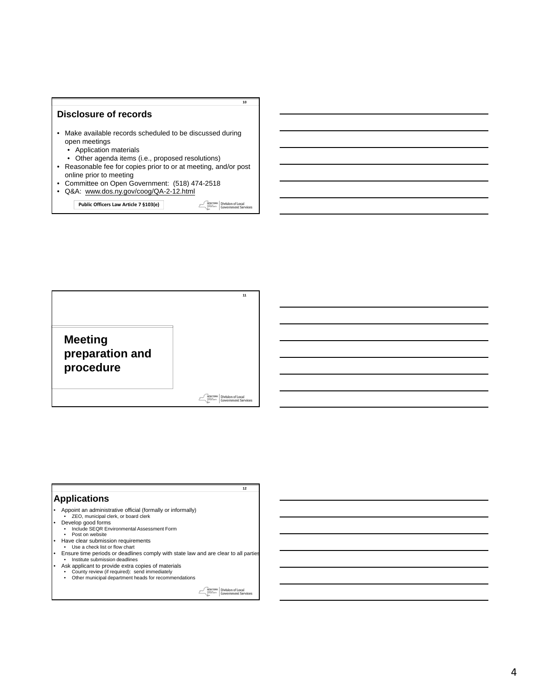

**Public Officers Law Article 7 §103(e)**

**MEWYORK** Division of Local<br> **Sovernment Services** 



**12**

### **Applications**

- Appoint an administrative official (formally or informally) ZEO, municipal clerk, or board clerk
- 
- Develop good forms Include SEQR Environmental Assessment Form
- Post on website Have clear submission requirements
- Use a check list or flow chart
- 
- Ensure time periods or deadlines comply with state law and are clear to all parties • Institute submission deadlines
- Ask applicant to provide extra copies of materials
- County review (if required): send immediately Other municipal department heads for recommendations

NEW YORK Division of Local<br>
Sovernment Services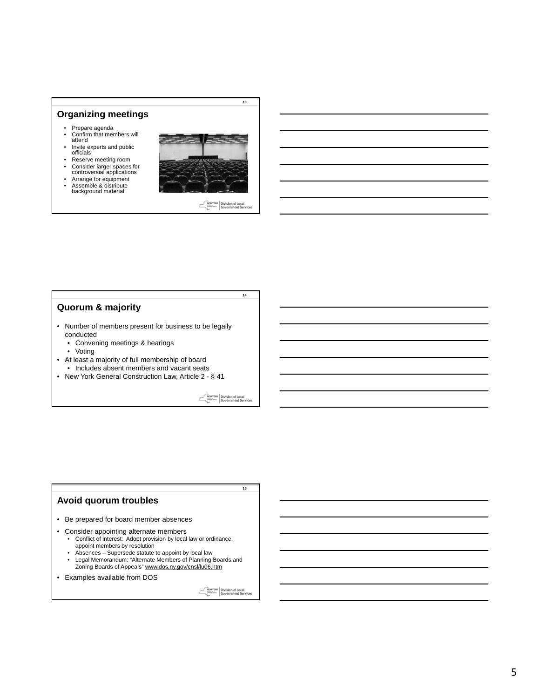### **Organizing meetings**

- Prepare agenda
- Confirm that members will attend
- Invite experts and public officials
- Reserve meeting room
- Consider larger spaces for controversial applications
- Arrange for equipment • Assemble & distribute background material



**MEW YORK** Division of Local<br> **Sovernment Services** 

**14**

**13**

#### **Quorum & majority**

- Number of members present for business to be legally conducted
	- Convening meetings & hearings
	- Voting
- At least a majority of full membership of board
- Includes absent members and vacant seats
- New York General Construction Law, Article 2 § 41

NEWYORK Division of Local<br>Since Street, Government Services

**15**

### **Avoid quorum troubles**

- Be prepared for board member absences
- Consider appointing alternate members
	- Conflict of interest: Adopt provision by local law or ordinance;
	- appoint members by resolution<br>• Absences Supersede statute to appoint by local law<br>• Legal Memorandum: "Alternate Members of Planning Boards and<br>Zoning Boards of Appeals" <u>www.dos.ny.gov/cnsl/lu06.htm</u>
	-
- Examples available from DOS

NEWYORK Division of Local<br>
Since Agreement Services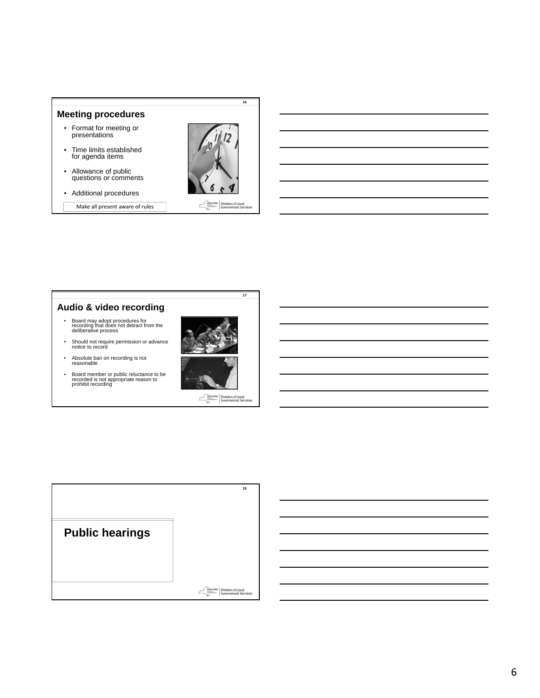

- Format for meeting or presentations
- Time limits established for agenda items
- Allowance of public questions or comments
- Additional procedures
	- Make all present aware of rules



**MEWYORK** Division of Local

**17**

### **Audio & video recording**

- Board may adopt procedures for recording that does not detract from the deliberative process
- Should not require permission or advance notice to record
- Absolute ban on recording is not reasonable
- Board member or public reluctance to be recorded is not appropriate reason to prohibit recording



MENYORK Division of Local<br>
Sovernment Services

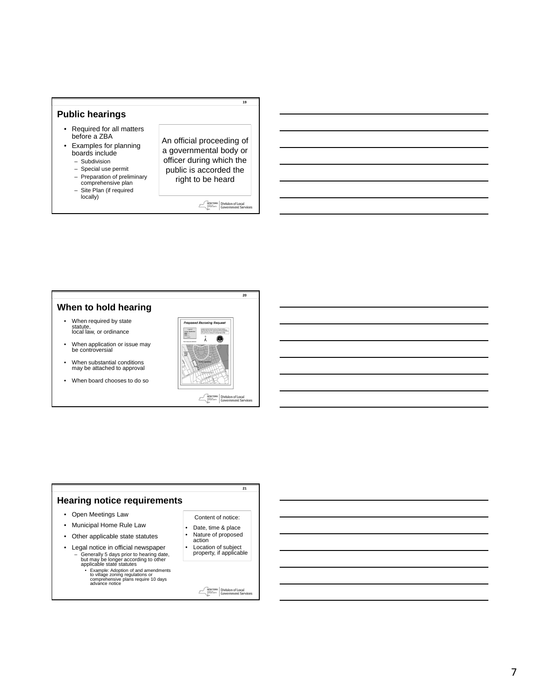#### **Public hearings**

- Required for all matters before a ZBA
- Examples for planning boards include
	- Subdivision
	- Special use permit – Preparation of preliminary
	- comprehensive plan – Site Plan (if required locally)

An official proceeding of a governmental body or officer during which the public is accorded the right to be heard

**MEWYORK** Division of Local

**20**

**19**

### **When to hold hearing**

- When required by state statute, local law, or ordinance
- When application or issue may be controversial
- When substantial conditions may be attached to approval
- When board chooses to do so



#### **Hearing notice requirements**

- Open Meetings Law
- Municipal Home Rule Law
- Other applicable state statutes
- Legal notice in official newspaper - Generally 5 days prior to hearing date,<br>but may be longer according to other<br>applicable state statutes<br>• Example: Adoption of and amendments<br>to village zoning regulations or<br>comprehensive plans require 10 days<br>advance no
- Content of notice:

**21**

- Date, time & place • Nature of proposed
- action • Location of subject property, if applicable

NEW YORK Division of Local<br>
Sovernment Services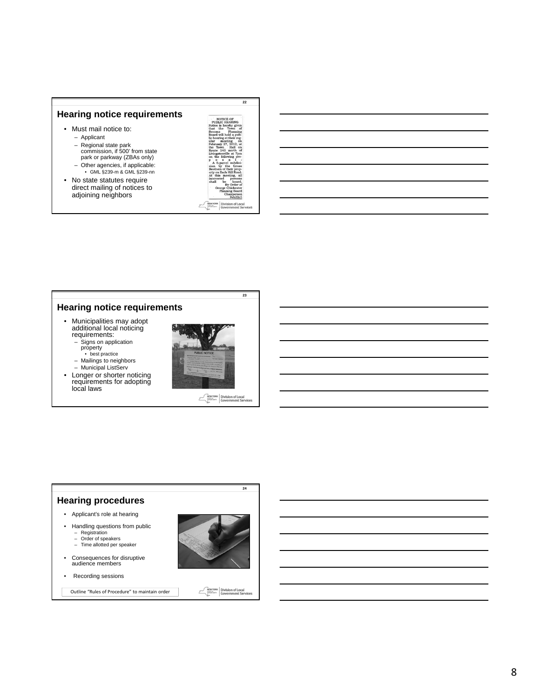### **Hearing notice requirements**

- Must mail notice to:
	- Applicant – Regional state park commission, if 500' from state park or parkway (ZBAs only)
	- Other agencies, if applicable:
- GML §239-m & GML §239-nn • No state statutes require
- direct mailing of notices to adjoining neighbors

| <b>Government Servic</b> |
|--------------------------|
|                          |

**22**

**23**

**Hearing notice requirements**

- Municipalities may adopt additional local noticing requirements:
	- Signs on application property best practice
	- Mailings to neighbors – Municipal ListServ
	-
- Longer or shorter noticing requirements for adopting local laws



**MENTORK** Division of Local

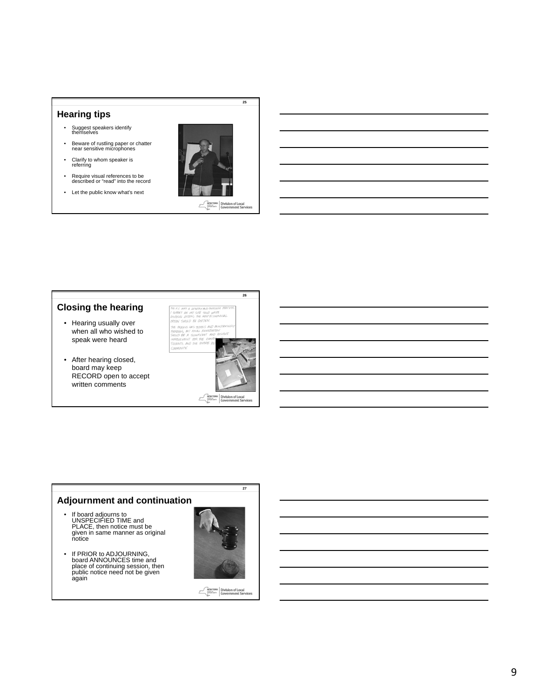### **Hearing tips**

- Suggest speakers identify themselves
- Beware of rustling paper or chatter near sensitive microphones
- Clarify to whom speaker is referring
- Require visual references to be described or "read" into the record
- Let the public know what's next



**MEWYORK** Division of Local

**26**

**25**

### **Closing the hearing**

- Hearing usually over when all who wished to speak were heard
- After hearing closed, board may keep RECORD open to accept written comments



### **Adjournment and continuation**

- If board adjourns to UNSPECIFIED TIME and PLACE, then notice must be given in same manner as original notice
- If PRIOR to ADJOURNING, board ANNOUNCES time and place of continuing session, then public notice need not be given again



**27**

NEW YORK Division of Local<br>
Sovernment Services

#### 9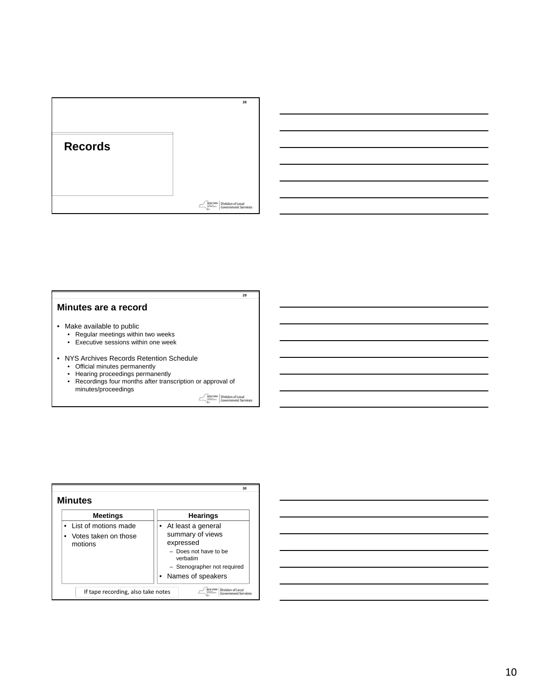

### **Minutes are a record**

- Make available to public
	- Regular meetings within two weeks
	- Executive sessions within one week
- NYS Archives Records Retention Schedule
	- Official minutes permanently
	- Hearing proceedings permanently
	- Recordings four months after transcription or approval of minutes/proceedings

NEWYORK Division of Local<br>
Successors Government Services

**29**

| <b>Minutes</b>                                                              | 30                                                                                                                                           |  |  |
|-----------------------------------------------------------------------------|----------------------------------------------------------------------------------------------------------------------------------------------|--|--|
| <b>Meetings</b>                                                             | <b>Hearings</b>                                                                                                                              |  |  |
| • List of motions made<br>• Votes taken on those<br>motions                 | At least a general<br>summary of views<br>expressed<br>- Does not have to be<br>verbatim<br>- Stenographer not required<br>Names of speakers |  |  |
| Division of Local<br>If tape recording, also take notes<br><b>Halls</b> Cal |                                                                                                                                              |  |  |

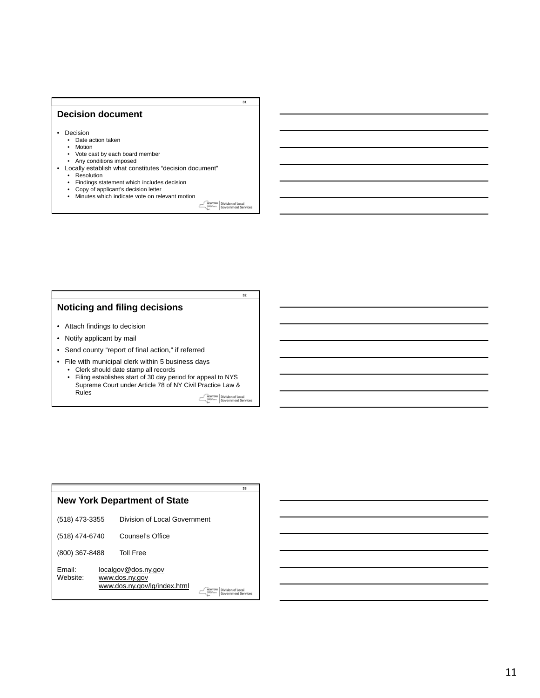### **Decision document**

- Decision
	- Date action taken
	- Motion
	- Vote cast by each board member
	-
- Any conditions imposed Locally establish what constitutes "decision document"
	-
	- Resolution Findings statement which includes decision
	- Copy of applicant's decision letter Minutes which indicate vote on relevant motion

**MEWYORK** Division of Local

**32**

**31**

### **Noticing and filing decisions**

- Attach findings to decision
- Notify applicant by mail
- Send county "report of final action," if referred
- File with municipal clerk within 5 business days
	- Clerk should date stamp all records<br>• Filing establishes start of 30 day per • Filing establishes start of 30 day period for appeal to NYS Supreme Court under Article 78 of NY Civil Practice Law & Rules

**MEWYORK** Division of Local<br> **Streamer Government Services** 

|                                                                                             |  |                              | 33 |  |
|---------------------------------------------------------------------------------------------|--|------------------------------|----|--|
| <b>New York Department of State</b>                                                         |  |                              |    |  |
| (518) 473-3355                                                                              |  | Division of Local Government |    |  |
| (518) 474-6740                                                                              |  | Counsel's Office             |    |  |
| (800) 367-8488                                                                              |  | <b>Toll Free</b>             |    |  |
| Fmail:<br>localgov@dos.ny.gov<br>Website:<br>www.dos.ny.gov<br>www.dos.ny.gov/lg/index.html |  | ent Services                 |    |  |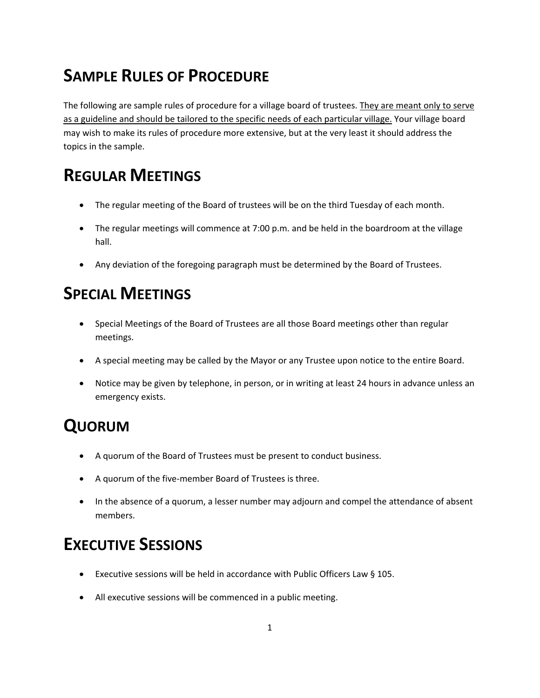# **SAMPLE RULES OF PROCEDURE**

The following are sample rules of procedure for a village board of trustees. They are meant only to serve as a guideline and should be tailored to the specific needs of each particular village. Your village board may wish to make its rules of procedure more extensive, but at the very least it should address the topics in the sample.

# **REGULAR MEETINGS**

- The regular meeting of the Board of trustees will be on the third Tuesday of each month.
- The regular meetings will commence at 7:00 p.m. and be held in the boardroom at the village hall.
- Any deviation of the foregoing paragraph must be determined by the Board of Trustees.

# **SPECIAL MEETINGS**

- Special Meetings of the Board of Trustees are all those Board meetings other than regular meetings.
- A special meeting may be called by the Mayor or any Trustee upon notice to the entire Board.
- Notice may be given by telephone, in person, or in writing at least 24 hours in advance unless an emergency exists.

# **QUORUM**

- A quorum of the Board of Trustees must be present to conduct business.
- A quorum of the five-member Board of Trustees is three.
- In the absence of a quorum, a lesser number may adjourn and compel the attendance of absent members.

# **EXECUTIVE SESSIONS**

- Executive sessions will be held in accordance with Public Officers Law § 105.
- All executive sessions will be commenced in a public meeting.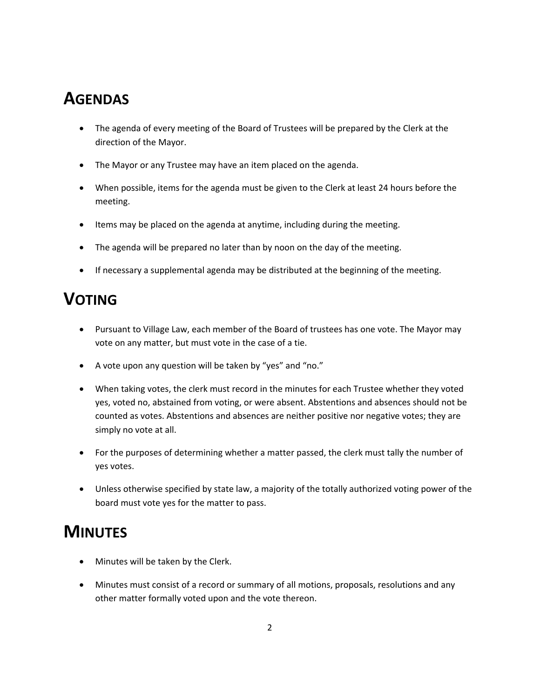# **AGENDAS**

- The agenda of every meeting of the Board of Trustees will be prepared by the Clerk at the direction of the Mayor.
- The Mayor or any Trustee may have an item placed on the agenda.
- When possible, items for the agenda must be given to the Clerk at least 24 hours before the meeting.
- Items may be placed on the agenda at anytime, including during the meeting.
- The agenda will be prepared no later than by noon on the day of the meeting.
- If necessary a supplemental agenda may be distributed at the beginning of the meeting.

# **VOTING**

- Pursuant to Village Law, each member of the Board of trustees has one vote. The Mayor may vote on any matter, but must vote in the case of a tie.
- A vote upon any question will be taken by "yes" and "no."
- When taking votes, the clerk must record in the minutes for each Trustee whether they voted yes, voted no, abstained from voting, or were absent. Abstentions and absences should not be counted as votes. Abstentions and absences are neither positive nor negative votes; they are simply no vote at all.
- For the purposes of determining whether a matter passed, the clerk must tally the number of yes votes.
- Unless otherwise specified by state law, a majority of the totally authorized voting power of the board must vote yes for the matter to pass.

## **MINUTES**

- Minutes will be taken by the Clerk.
- Minutes must consist of a record or summary of all motions, proposals, resolutions and any other matter formally voted upon and the vote thereon.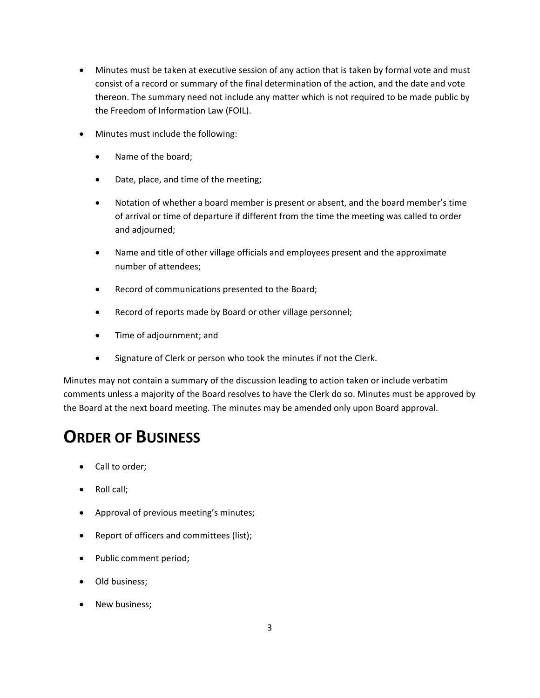- Minutes must be taken at executive session of any action that is taken by formal vote and must consist of a record or summary of the final determination of the action, and the date and vote thereon. The summary need not include any matter which is not required to be made public by the Freedom of Information Law (FOIL).
- Minutes must include the following:
	- Name of the board;
	- Date, place, and time of the meeting;
	- Notation of whether a board member is present or absent, and the board member's time of arrival or time of departure if different from the time the meeting was called to order and adjourned;
	- Name and title of other village officials and employees present and the approximate number of attendees;
	- Record of communications presented to the Board;
	- Record of reports made by Board or other village personnel;
	- Time of adjournment; and
	- Signature of Clerk or person who took the minutes if not the Clerk.

Minutes may not contain a summary of the discussion leading to action taken or include verbatim comments unless a majority of the Board resolves to have the Clerk do so. Minutes must be approved by the Board at the next board meeting. The minutes may be amended only upon Board approval.

# **ORDER OF BUSINESS**

- Call to order;
- Roll call;
- Approval of previous meeting's minutes;
- Report of officers and committees (list);
- Public comment period;
- Old business;
- New business;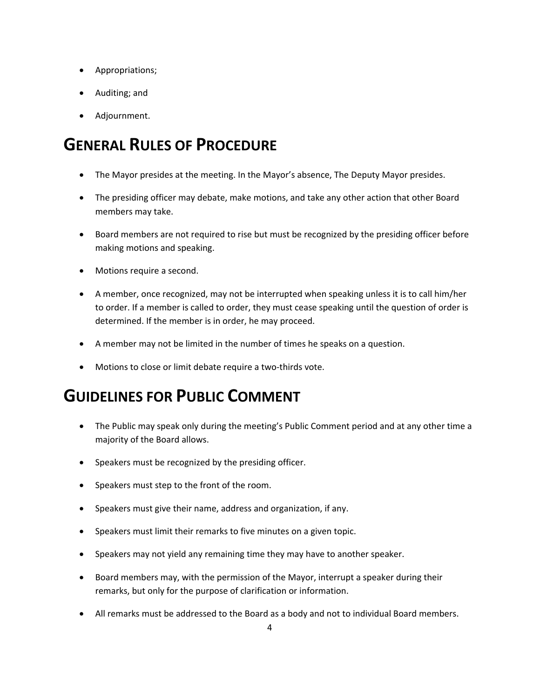- Appropriations;
- Auditing; and
- Adjournment.

# **GENERAL RULES OF PROCEDURE**

- The Mayor presides at the meeting. In the Mayor's absence, The Deputy Mayor presides.
- The presiding officer may debate, make motions, and take any other action that other Board members may take.
- Board members are not required to rise but must be recognized by the presiding officer before making motions and speaking.
- Motions require a second.
- A member, once recognized, may not be interrupted when speaking unless it is to call him/her to order. If a member is called to order, they must cease speaking until the question of order is determined. If the member is in order, he may proceed.
- A member may not be limited in the number of times he speaks on a question.
- Motions to close or limit debate require a two-thirds vote.

# **GUIDELINES FOR PUBLIC COMMENT**

- The Public may speak only during the meeting's Public Comment period and at any other time a majority of the Board allows.
- Speakers must be recognized by the presiding officer.
- Speakers must step to the front of the room.
- Speakers must give their name, address and organization, if any.
- Speakers must limit their remarks to five minutes on a given topic.
- Speakers may not yield any remaining time they may have to another speaker.
- Board members may, with the permission of the Mayor, interrupt a speaker during their remarks, but only for the purpose of clarification or information.
- All remarks must be addressed to the Board as a body and not to individual Board members.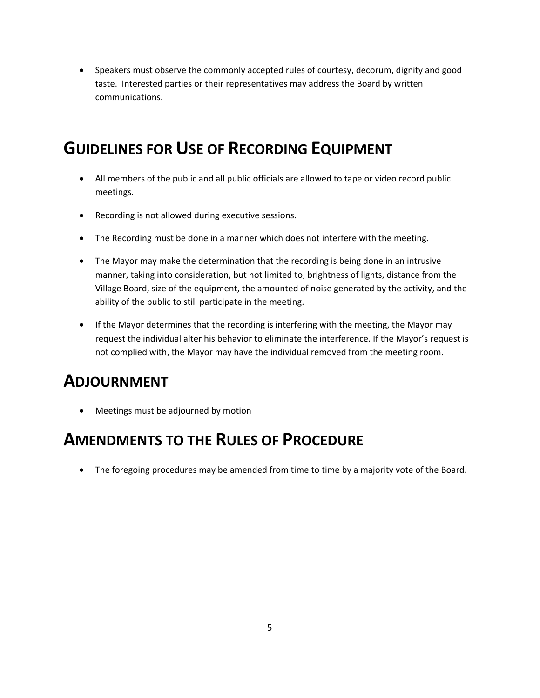• Speakers must observe the commonly accepted rules of courtesy, decorum, dignity and good taste. Interested parties or their representatives may address the Board by written communications.

# **GUIDELINES FOR USE OF RECORDING EQUIPMENT**

- All members of the public and all public officials are allowed to tape or video record public meetings.
- Recording is not allowed during executive sessions.
- The Recording must be done in a manner which does not interfere with the meeting.
- The Mayor may make the determination that the recording is being done in an intrusive manner, taking into consideration, but not limited to, brightness of lights, distance from the Village Board, size of the equipment, the amounted of noise generated by the activity, and the ability of the public to still participate in the meeting.
- If the Mayor determines that the recording is interfering with the meeting, the Mayor may request the individual alter his behavior to eliminate the interference. If the Mayor's request is not complied with, the Mayor may have the individual removed from the meeting room.

# **ADJOURNMENT**

• Meetings must be adjourned by motion

# **AMENDMENTS TO THE RULES OF PROCEDURE**

The foregoing procedures may be amended from time to time by a majority vote of the Board.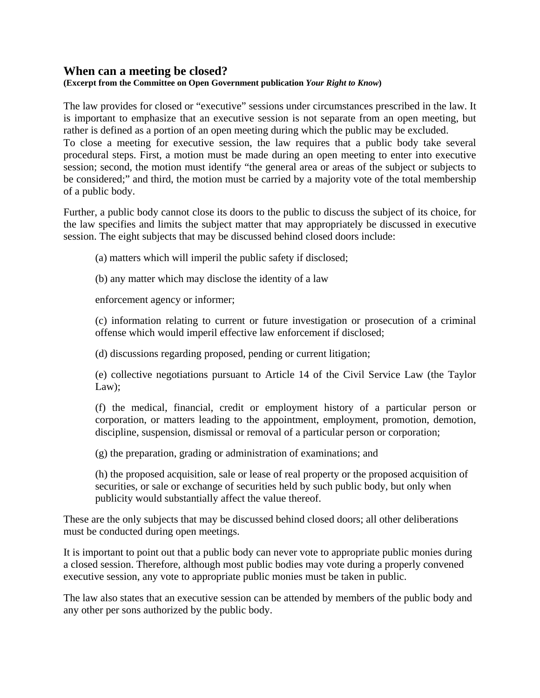## **When can a meeting be closed?**

### **(Excerpt from the Committee on Open Government publication** *Your Right to Know***)**

The law provides for closed or "executive" sessions under circumstances prescribed in the law. It is important to emphasize that an executive session is not separate from an open meeting, but rather is defined as a portion of an open meeting during which the public may be excluded.

To close a meeting for executive session, the law requires that a public body take several procedural steps. First, a motion must be made during an open meeting to enter into executive session; second, the motion must identify "the general area or areas of the subject or subjects to be considered;" and third, the motion must be carried by a majority vote of the total membership of a public body.

Further, a public body cannot close its doors to the public to discuss the subject of its choice, for the law specifies and limits the subject matter that may appropriately be discussed in executive session. The eight subjects that may be discussed behind closed doors include:

(a) matters which will imperil the public safety if disclosed;

(b) any matter which may disclose the identity of a law

enforcement agency or informer;

(c) information relating to current or future investigation or prosecution of a criminal offense which would imperil effective law enforcement if disclosed;

(d) discussions regarding proposed, pending or current litigation;

(e) collective negotiations pursuant to Article 14 of the Civil Service Law (the Taylor Law);

(f) the medical, financial, credit or employment history of a particular person or corporation, or matters leading to the appointment, employment, promotion, demotion, discipline, suspension, dismissal or removal of a particular person or corporation;

(g) the preparation, grading or administration of examinations; and

(h) the proposed acquisition, sale or lease of real property or the proposed acquisition of securities, or sale or exchange of securities held by such public body, but only when publicity would substantially affect the value thereof.

These are the only subjects that may be discussed behind closed doors; all other deliberations must be conducted during open meetings.

It is important to point out that a public body can never vote to appropriate public monies during a closed session. Therefore, although most public bodies may vote during a properly convened executive session, any vote to appropriate public monies must be taken in public.

The law also states that an executive session can be attended by members of the public body and any other per sons authorized by the public body.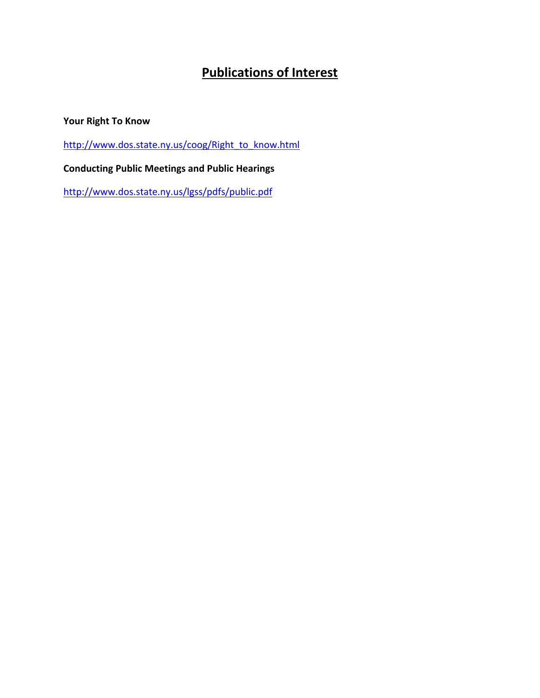## **Publications of Interest**

## **Your Right To Know**

http://www.dos.state.ny.us/coog/Right\_to\_know.html

**Conducting Public Meetings and Public Hearings** 

http://www.dos.state.ny.us/lgss/pdfs/public.pdf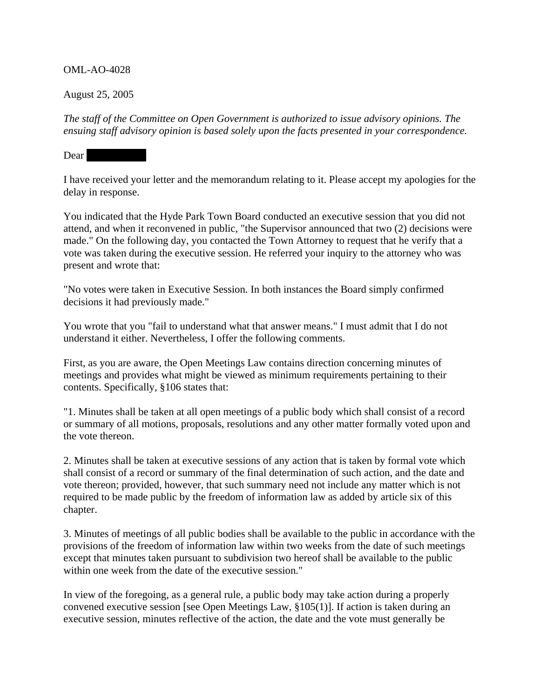### OML-AO-4028

August 25, 2005

*The staff of the Committee on Open Government is authorized to issue advisory opinions. The ensuing staff advisory opinion is based solely upon the facts presented in your correspondence.* 

Dear local Officers and Dear

I have received your letter and the memorandum relating to it. Please accept my apologies for the delay in response.

You indicated that the Hyde Park Town Board conducted an executive session that you did not attend, and when it reconvened in public, "the Supervisor announced that two (2) decisions were made." On the following day, you contacted the Town Attorney to request that he verify that a vote was taken during the executive session. He referred your inquiry to the attorney who was present and wrote that:

"No votes were taken in Executive Session. In both instances the Board simply confirmed decisions it had previously made."

You wrote that you "fail to understand what that answer means." I must admit that I do not understand it either. Nevertheless, I offer the following comments.

First, as you are aware, the Open Meetings Law contains direction concerning minutes of meetings and provides what might be viewed as minimum requirements pertaining to their contents. Specifically, §106 states that:

"1. Minutes shall be taken at all open meetings of a public body which shall consist of a record or summary of all motions, proposals, resolutions and any other matter formally voted upon and the vote thereon.

2. Minutes shall be taken at executive sessions of any action that is taken by formal vote which shall consist of a record or summary of the final determination of such action, and the date and vote thereon; provided, however, that such summary need not include any matter which is not required to be made public by the freedom of information law as added by article six of this chapter.

3. Minutes of meetings of all public bodies shall be available to the public in accordance with the provisions of the freedom of information law within two weeks from the date of such meetings except that minutes taken pursuant to subdivision two hereof shall be available to the public within one week from the date of the executive session."

In view of the foregoing, as a general rule, a public body may take action during a properly convened executive session [see Open Meetings Law, §105(1)]. If action is taken during an executive session, minutes reflective of the action, the date and the vote must generally be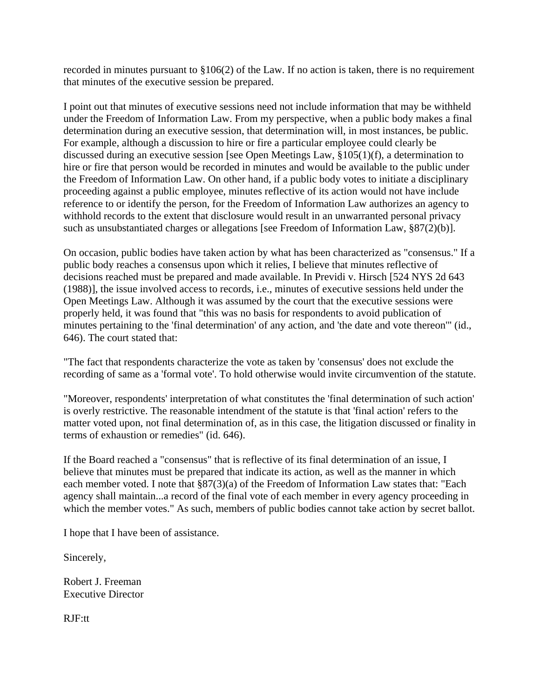recorded in minutes pursuant to  $\S 106(2)$  of the Law. If no action is taken, there is no requirement that minutes of the executive session be prepared.

I point out that minutes of executive sessions need not include information that may be withheld under the Freedom of Information Law. From my perspective, when a public body makes a final determination during an executive session, that determination will, in most instances, be public. For example, although a discussion to hire or fire a particular employee could clearly be discussed during an executive session [see Open Meetings Law, §105(1)(f), a determination to hire or fire that person would be recorded in minutes and would be available to the public under the Freedom of Information Law. On other hand, if a public body votes to initiate a disciplinary proceeding against a public employee, minutes reflective of its action would not have include reference to or identify the person, for the Freedom of Information Law authorizes an agency to withhold records to the extent that disclosure would result in an unwarranted personal privacy such as unsubstantiated charges or allegations [see Freedom of Information Law, §87(2)(b)].

On occasion, public bodies have taken action by what has been characterized as "consensus." If a public body reaches a consensus upon which it relies, I believe that minutes reflective of decisions reached must be prepared and made available. In Previdi v. Hirsch [524 NYS 2d 643 (1988)], the issue involved access to records, i.e., minutes of executive sessions held under the Open Meetings Law. Although it was assumed by the court that the executive sessions were properly held, it was found that "this was no basis for respondents to avoid publication of minutes pertaining to the 'final determination' of any action, and 'the date and vote thereon'" (id., 646). The court stated that:

"The fact that respondents characterize the vote as taken by 'consensus' does not exclude the recording of same as a 'formal vote'. To hold otherwise would invite circumvention of the statute.

"Moreover, respondents' interpretation of what constitutes the 'final determination of such action' is overly restrictive. The reasonable intendment of the statute is that 'final action' refers to the matter voted upon, not final determination of, as in this case, the litigation discussed or finality in terms of exhaustion or remedies" (id. 646).

If the Board reached a "consensus" that is reflective of its final determination of an issue, I believe that minutes must be prepared that indicate its action, as well as the manner in which each member voted. I note that §87(3)(a) of the Freedom of Information Law states that: "Each agency shall maintain...a record of the final vote of each member in every agency proceeding in which the member votes." As such, members of public bodies cannot take action by secret ballot.

I hope that I have been of assistance.

Sincerely,

Robert J. Freeman Executive Director

RJF:tt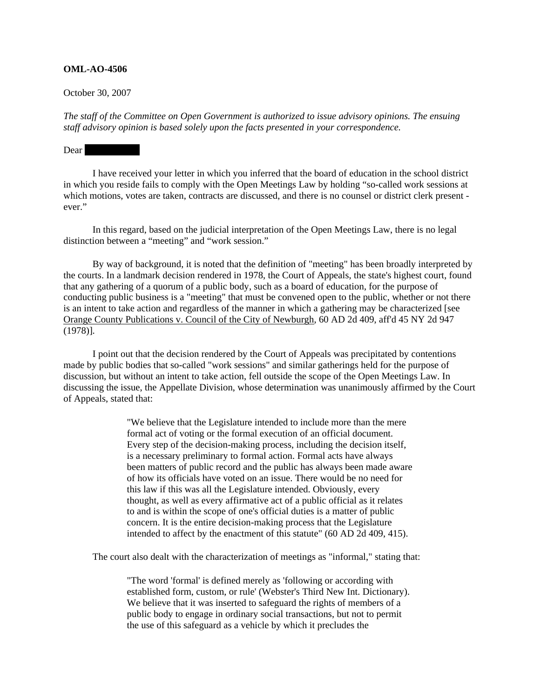#### **OML-AO-4506**

October 30, 2007

*The staff of the Committee on Open Government is authorized to issue advisory opinions. The ensuing staff advisory opinion is based solely upon the facts presented in your correspondence.* 

Dear local Office

 I have received your letter in which you inferred that the board of education in the school district in which you reside fails to comply with the Open Meetings Law by holding "so-called work sessions at which motions, votes are taken, contracts are discussed, and there is no counsel or district clerk present ever."

 In this regard, based on the judicial interpretation of the Open Meetings Law, there is no legal distinction between a "meeting" and "work session."

 By way of background, it is noted that the definition of "meeting" has been broadly interpreted by the courts. In a landmark decision rendered in 1978, the Court of Appeals, the state's highest court, found that any gathering of a quorum of a public body, such as a board of education, for the purpose of conducting public business is a "meeting" that must be convened open to the public, whether or not there is an intent to take action and regardless of the manner in which a gathering may be characterized [see Orange County Publications v. Council of the City of Newburgh, 60 AD 2d 409, aff'd 45 NY 2d 947 (1978)].

 I point out that the decision rendered by the Court of Appeals was precipitated by contentions made by public bodies that so-called "work sessions" and similar gatherings held for the purpose of discussion, but without an intent to take action, fell outside the scope of the Open Meetings Law. In discussing the issue, the Appellate Division, whose determination was unanimously affirmed by the Court of Appeals, stated that:

> "We believe that the Legislature intended to include more than the mere formal act of voting or the formal execution of an official document. Every step of the decision-making process, including the decision itself, is a necessary preliminary to formal action. Formal acts have always been matters of public record and the public has always been made aware of how its officials have voted on an issue. There would be no need for this law if this was all the Legislature intended. Obviously, every thought, as well as every affirmative act of a public official as it relates to and is within the scope of one's official duties is a matter of public concern. It is the entire decision-making process that the Legislature intended to affect by the enactment of this statute" (60 AD 2d 409, 415).

The court also dealt with the characterization of meetings as "informal," stating that:

"The word 'formal' is defined merely as 'following or according with established form, custom, or rule' (Webster's Third New Int. Dictionary). We believe that it was inserted to safeguard the rights of members of a public body to engage in ordinary social transactions, but not to permit the use of this safeguard as a vehicle by which it precludes the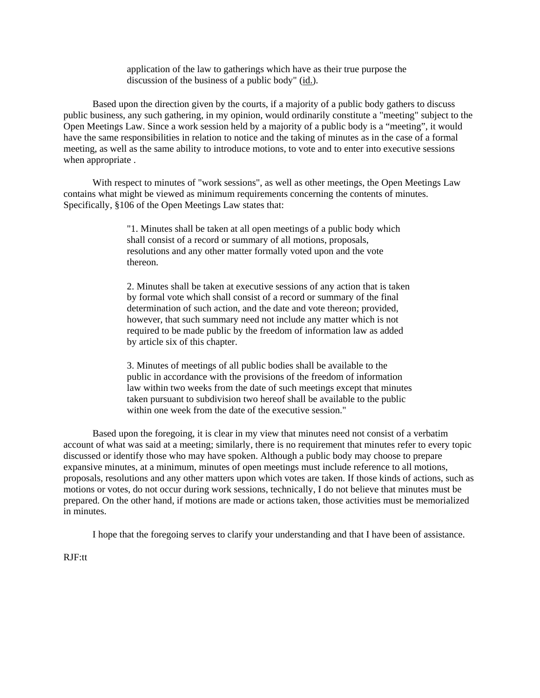application of the law to gatherings which have as their true purpose the discussion of the business of a public body" (id.).

 Based upon the direction given by the courts, if a majority of a public body gathers to discuss public business, any such gathering, in my opinion, would ordinarily constitute a "meeting" subject to the Open Meetings Law. Since a work session held by a majority of a public body is a "meeting", it would have the same responsibilities in relation to notice and the taking of minutes as in the case of a formal meeting, as well as the same ability to introduce motions, to vote and to enter into executive sessions when appropriate .

 With respect to minutes of "work sessions", as well as other meetings, the Open Meetings Law contains what might be viewed as minimum requirements concerning the contents of minutes. Specifically, §106 of the Open Meetings Law states that:

> "1. Minutes shall be taken at all open meetings of a public body which shall consist of a record or summary of all motions, proposals, resolutions and any other matter formally voted upon and the vote thereon.

2. Minutes shall be taken at executive sessions of any action that is taken by formal vote which shall consist of a record or summary of the final determination of such action, and the date and vote thereon; provided, however, that such summary need not include any matter which is not required to be made public by the freedom of information law as added by article six of this chapter.

3. Minutes of meetings of all public bodies shall be available to the public in accordance with the provisions of the freedom of information law within two weeks from the date of such meetings except that minutes taken pursuant to subdivision two hereof shall be available to the public within one week from the date of the executive session."

 Based upon the foregoing, it is clear in my view that minutes need not consist of a verbatim account of what was said at a meeting; similarly, there is no requirement that minutes refer to every topic discussed or identify those who may have spoken. Although a public body may choose to prepare expansive minutes, at a minimum, minutes of open meetings must include reference to all motions, proposals, resolutions and any other matters upon which votes are taken. If those kinds of actions, such as motions or votes, do not occur during work sessions, technically, I do not believe that minutes must be prepared. On the other hand, if motions are made or actions taken, those activities must be memorialized in minutes.

I hope that the foregoing serves to clarify your understanding and that I have been of assistance.

RJF:tt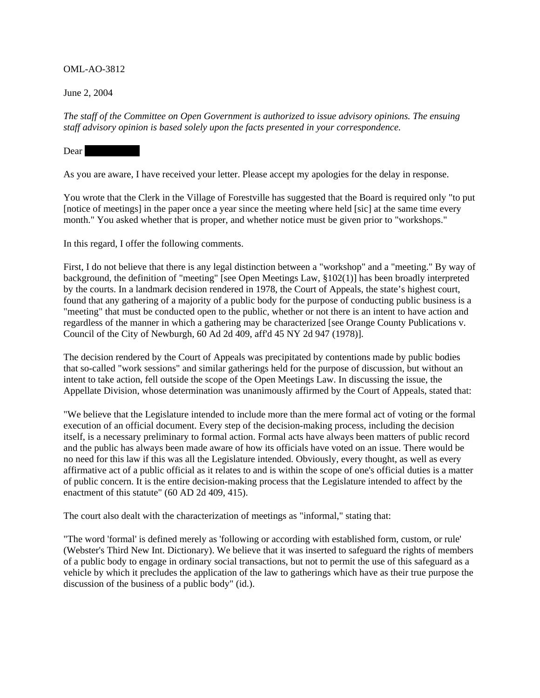### OML-AO-3812

June 2, 2004

*The staff of the Committee on Open Government is authorized to issue advisory opinions. The ensuing staff advisory opinion is based solely upon the facts presented in your correspondence.* 

Dear local Office

As you are aware, I have received your letter. Please accept my apologies for the delay in response.

You wrote that the Clerk in the Village of Forestville has suggested that the Board is required only "to put [notice of meetings] in the paper once a year since the meeting where held [sic] at the same time every month." You asked whether that is proper, and whether notice must be given prior to "workshops."

In this regard, I offer the following comments.

First, I do not believe that there is any legal distinction between a "workshop" and a "meeting." By way of background, the definition of "meeting" [see Open Meetings Law, §102(1)] has been broadly interpreted by the courts. In a landmark decision rendered in 1978, the Court of Appeals, the state's highest court, found that any gathering of a majority of a public body for the purpose of conducting public business is a "meeting" that must be conducted open to the public, whether or not there is an intent to have action and regardless of the manner in which a gathering may be characterized [see Orange County Publications v. Council of the City of Newburgh, 60 Ad 2d 409, aff'd 45 NY 2d 947 (1978)].

The decision rendered by the Court of Appeals was precipitated by contentions made by public bodies that so-called "work sessions" and similar gatherings held for the purpose of discussion, but without an intent to take action, fell outside the scope of the Open Meetings Law. In discussing the issue, the Appellate Division, whose determination was unanimously affirmed by the Court of Appeals, stated that:

"We believe that the Legislature intended to include more than the mere formal act of voting or the formal execution of an official document. Every step of the decision-making process, including the decision itself, is a necessary preliminary to formal action. Formal acts have always been matters of public record and the public has always been made aware of how its officials have voted on an issue. There would be no need for this law if this was all the Legislature intended. Obviously, every thought, as well as every affirmative act of a public official as it relates to and is within the scope of one's official duties is a matter of public concern. It is the entire decision-making process that the Legislature intended to affect by the enactment of this statute" (60 AD 2d 409, 415).

The court also dealt with the characterization of meetings as "informal," stating that:

"The word 'formal' is defined merely as 'following or according with established form, custom, or rule' (Webster's Third New Int. Dictionary). We believe that it was inserted to safeguard the rights of members of a public body to engage in ordinary social transactions, but not to permit the use of this safeguard as a vehicle by which it precludes the application of the law to gatherings which have as their true purpose the discussion of the business of a public body" (id.).